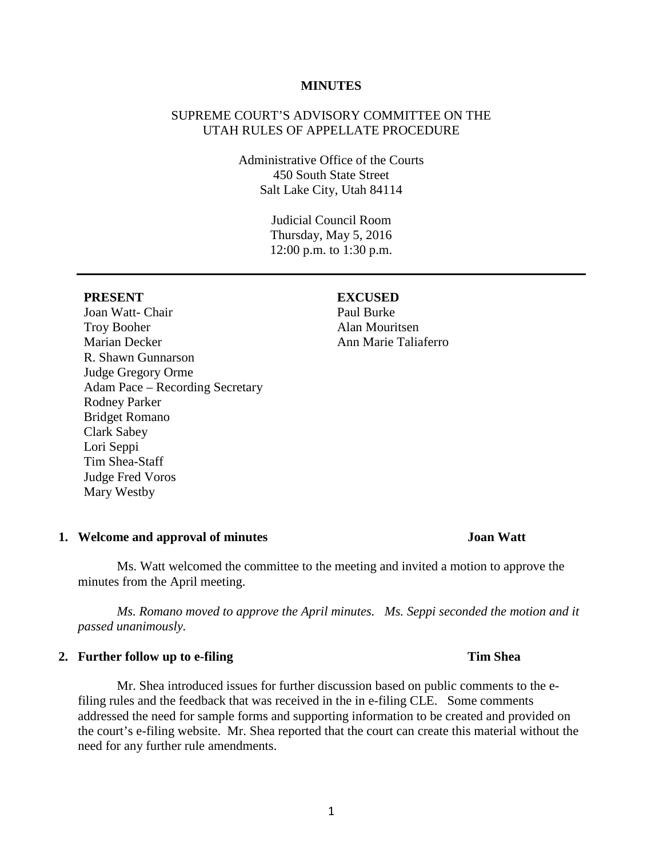### **MINUTES**

## SUPREME COURT'S ADVISORY COMMITTEE ON THE UTAH RULES OF APPELLATE PROCEDURE

Administrative Office of the Courts 450 South State Street Salt Lake City, Utah 84114

> Judicial Council Room Thursday, May 5, 2016 12:00 p.m. to 1:30 p.m.

Joan Watt- Chair Troy Booher Marian Decker R. Shawn Gunnarson Judge Gregory Orme Adam Pace – Recording Secretary Rodney Parker Bridget Romano Clark Sabey Lori Seppi Tim Shea-Staff Judge Fred Voros Mary Westby

### **PRESENT EXCUSED**

### **1. Welcome and approval of minutes Joan Watt**

Ms. Watt welcomed the committee to the meeting and invited a motion to approve the minutes from the April meeting.

*Ms. Romano moved to approve the April minutes. Ms. Seppi seconded the motion and it passed unanimously.* 

## **2. Further follow up to e-filing Tim Shea**

Mr. Shea introduced issues for further discussion based on public comments to the efiling rules and the feedback that was received in the in e-filing CLE. Some comments addressed the need for sample forms and supporting information to be created and provided on the court's e-filing website. Mr. Shea reported that the court can create this material without the need for any further rule amendments.

1

Paul Burke Alan Mouritsen Ann Marie Taliaferro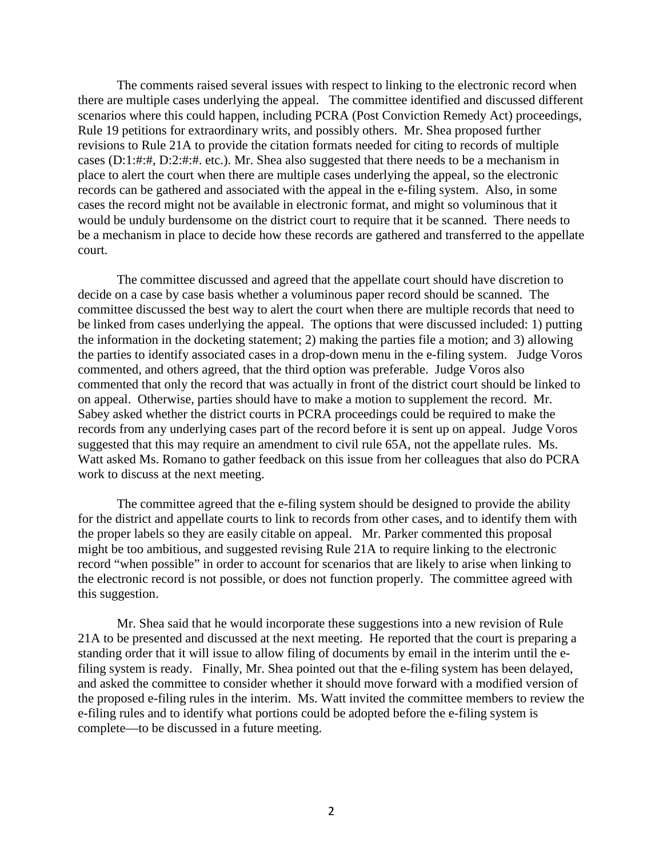The comments raised several issues with respect to linking to the electronic record when there are multiple cases underlying the appeal. The committee identified and discussed different scenarios where this could happen, including PCRA (Post Conviction Remedy Act) proceedings, Rule 19 petitions for extraordinary writs, and possibly others. Mr. Shea proposed further revisions to Rule 21A to provide the citation formats needed for citing to records of multiple cases (D:1:#:#, D:2:#:#. etc.). Mr. Shea also suggested that there needs to be a mechanism in place to alert the court when there are multiple cases underlying the appeal, so the electronic records can be gathered and associated with the appeal in the e-filing system. Also, in some cases the record might not be available in electronic format, and might so voluminous that it would be unduly burdensome on the district court to require that it be scanned. There needs to be a mechanism in place to decide how these records are gathered and transferred to the appellate court.

The committee discussed and agreed that the appellate court should have discretion to decide on a case by case basis whether a voluminous paper record should be scanned. The committee discussed the best way to alert the court when there are multiple records that need to be linked from cases underlying the appeal. The options that were discussed included: 1) putting the information in the docketing statement; 2) making the parties file a motion; and 3) allowing the parties to identify associated cases in a drop-down menu in the e-filing system. Judge Voros commented, and others agreed, that the third option was preferable. Judge Voros also commented that only the record that was actually in front of the district court should be linked to on appeal. Otherwise, parties should have to make a motion to supplement the record. Mr. Sabey asked whether the district courts in PCRA proceedings could be required to make the records from any underlying cases part of the record before it is sent up on appeal. Judge Voros suggested that this may require an amendment to civil rule 65A, not the appellate rules. Ms. Watt asked Ms. Romano to gather feedback on this issue from her colleagues that also do PCRA work to discuss at the next meeting.

The committee agreed that the e-filing system should be designed to provide the ability for the district and appellate courts to link to records from other cases, and to identify them with the proper labels so they are easily citable on appeal. Mr. Parker commented this proposal might be too ambitious, and suggested revising Rule 21A to require linking to the electronic record "when possible" in order to account for scenarios that are likely to arise when linking to the electronic record is not possible, or does not function properly. The committee agreed with this suggestion.

Mr. Shea said that he would incorporate these suggestions into a new revision of Rule 21A to be presented and discussed at the next meeting. He reported that the court is preparing a standing order that it will issue to allow filing of documents by email in the interim until the efiling system is ready. Finally, Mr. Shea pointed out that the e-filing system has been delayed, and asked the committee to consider whether it should move forward with a modified version of the proposed e-filing rules in the interim. Ms. Watt invited the committee members to review the e-filing rules and to identify what portions could be adopted before the e-filing system is complete—to be discussed in a future meeting.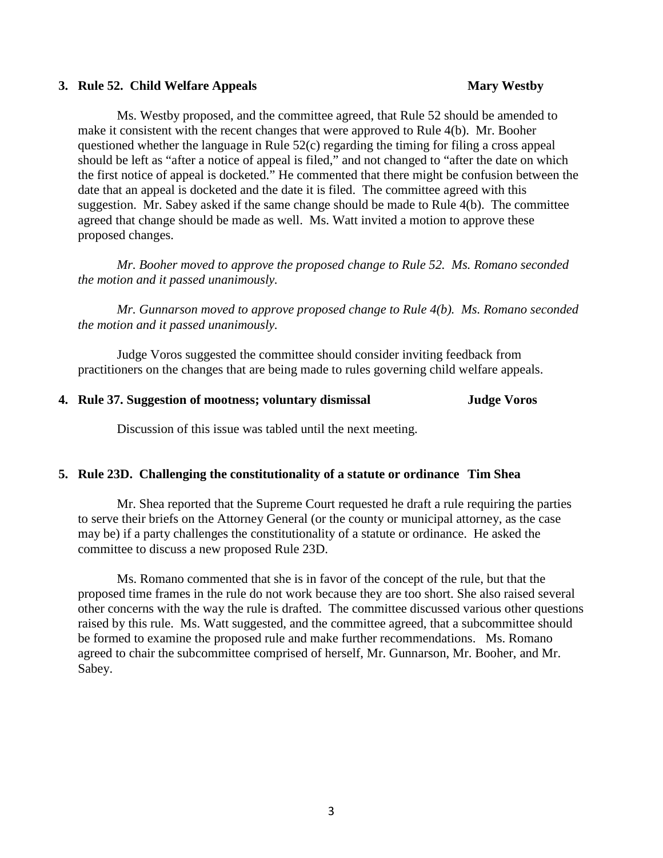### **3. Rule 52. Child Welfare Appeals Mary Westby**

Ms. Westby proposed, and the committee agreed, that Rule 52 should be amended to make it consistent with the recent changes that were approved to Rule 4(b). Mr. Booher questioned whether the language in Rule 52(c) regarding the timing for filing a cross appeal should be left as "after a notice of appeal is filed," and not changed to "after the date on which the first notice of appeal is docketed." He commented that there might be confusion between the date that an appeal is docketed and the date it is filed. The committee agreed with this suggestion. Mr. Sabey asked if the same change should be made to Rule 4(b). The committee agreed that change should be made as well. Ms. Watt invited a motion to approve these proposed changes.

*Mr. Booher moved to approve the proposed change to Rule 52. Ms. Romano seconded the motion and it passed unanimously.*

*Mr. Gunnarson moved to approve proposed change to Rule 4(b). Ms. Romano seconded the motion and it passed unanimously.* 

Judge Voros suggested the committee should consider inviting feedback from practitioners on the changes that are being made to rules governing child welfare appeals.

### **4. Rule 37. Suggestion of mootness; voluntary dismissal Judge Voros**

Discussion of this issue was tabled until the next meeting.

### **5. Rule 23D. Challenging the constitutionality of a statute or ordinance Tim Shea**

Mr. Shea reported that the Supreme Court requested he draft a rule requiring the parties to serve their briefs on the Attorney General (or the county or municipal attorney, as the case may be) if a party challenges the constitutionality of a statute or ordinance. He asked the committee to discuss a new proposed Rule 23D.

Ms. Romano commented that she is in favor of the concept of the rule, but that the proposed time frames in the rule do not work because they are too short. She also raised several other concerns with the way the rule is drafted. The committee discussed various other questions raised by this rule. Ms. Watt suggested, and the committee agreed, that a subcommittee should be formed to examine the proposed rule and make further recommendations. Ms. Romano agreed to chair the subcommittee comprised of herself, Mr. Gunnarson, Mr. Booher, and Mr. Sabey.